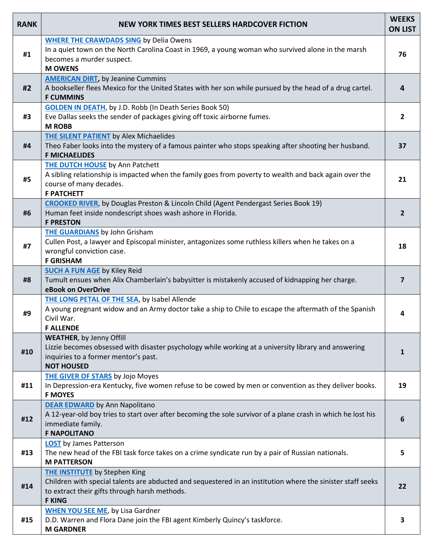| <b>RANK</b> | <b>NEW YORK TIMES BEST SELLERS HARDCOVER FICTION</b>                                                                                                                                                                  | <b>WEEKS</b><br><b>ON LIST</b> |
|-------------|-----------------------------------------------------------------------------------------------------------------------------------------------------------------------------------------------------------------------|--------------------------------|
| #1          | <b>WHERE THE CRAWDADS SING</b> by Delia Owens<br>In a quiet town on the North Carolina Coast in 1969, a young woman who survived alone in the marsh<br>becomes a murder suspect.<br><b>M OWENS</b>                    | 76                             |
| #2          | <b>AMERICAN DIRT, by Jeanine Cummins</b><br>A bookseller flees Mexico for the United States with her son while pursued by the head of a drug cartel.<br><b>F CUMMINS</b>                                              | 4                              |
| #3          | <b>GOLDEN IN DEATH, by J.D. Robb (In Death Series Book 50)</b><br>Eve Dallas seeks the sender of packages giving off toxic airborne fumes.<br><b>M ROBB</b>                                                           | $\overline{2}$                 |
| #4          | <b>THE SILENT PATIENT</b> by Alex Michaelides<br>Theo Faber looks into the mystery of a famous painter who stops speaking after shooting her husband.<br><b>F MICHAELIDES</b>                                         | 37                             |
| #5          | <b>THE DUTCH HOUSE</b> by Ann Patchett<br>A sibling relationship is impacted when the family goes from poverty to wealth and back again over the<br>course of many decades.<br><b>F PATCHETT</b>                      | 21                             |
| #6          | CROOKED RIVER, by Douglas Preston & Lincoln Child (Agent Pendergast Series Book 19)<br>Human feet inside nondescript shoes wash ashore in Florida.<br><b>F PRESTON</b>                                                | $\overline{2}$                 |
| #7          | <b>THE GUARDIANS</b> by John Grisham<br>Cullen Post, a lawyer and Episcopal minister, antagonizes some ruthless killers when he takes on a<br>wrongful conviction case.<br><b>F GRISHAM</b>                           | 18                             |
| #8          | <b>SUCH A FUN AGE by Kiley Reid</b><br>Tumult ensues when Alix Chamberlain's babysitter is mistakenly accused of kidnapping her charge.<br>eBook on OverDrive                                                         | $\overline{7}$                 |
| #9          | <b>THE LONG PETAL OF THE SEA, by Isabel Allende</b><br>A young pregnant widow and an Army doctor take a ship to Chile to escape the aftermath of the Spanish<br>Civil War.<br><b>F ALLENDE</b>                        | 4                              |
| #10         | <b>WEATHER, by Jenny Offill</b><br>Lizzie becomes obsessed with disaster psychology while working at a university library and answering<br>inquiries to a former mentor's past.<br><b>NOT HOUSED</b>                  | $\mathbf{1}$                   |
| #11         | <b>THE GIVER OF STARS</b> by Jojo Moyes<br>In Depression-era Kentucky, five women refuse to be cowed by men or convention as they deliver books.<br><b>F MOYES</b>                                                    | 19                             |
| #12         | <b>DEAR EDWARD</b> by Ann Napolitano<br>A 12-year-old boy tries to start over after becoming the sole survivor of a plane crash in which he lost his<br>immediate family.<br><b>F NAPOLITANO</b>                      | 6                              |
| #13         | <b>LOST</b> by James Patterson<br>The new head of the FBI task force takes on a crime syndicate run by a pair of Russian nationals.<br><b>M PATTERSON</b>                                                             | 5                              |
| #14         | <b>THE INSTITUTE</b> by Stephen King<br>Children with special talents are abducted and sequestered in an institution where the sinister staff seeks<br>to extract their gifts through harsh methods.<br><b>F KING</b> | 22                             |
| #15         | <b>WHEN YOU SEE ME</b> , by Lisa Gardner<br>D.D. Warren and Flora Dane join the FBI agent Kimberly Quincy's taskforce.<br><b>M GARDNER</b>                                                                            | 3                              |